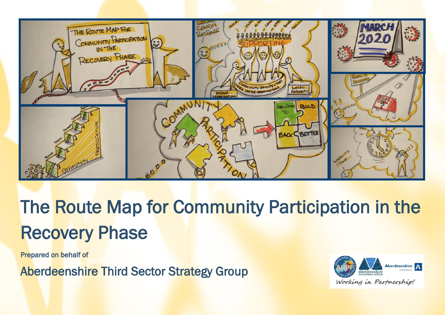

# The Route Map for Community Participation in the Recovery Phase

Prepared on behalf of

Aberdeenshire Third Sector Strategy Group

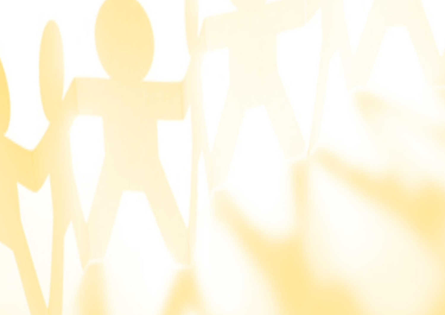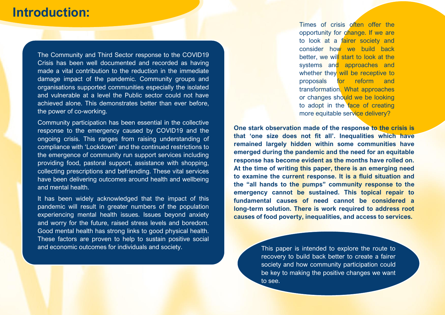# **Introduction:**

The Community and Third Sector response to the COVID19 Crisis has been well documented and recorded as having made a vital contribution to the reduction in the immediate damage impact of the pandemic. Community groups and organisations supported communities especially the isolated and vulnerable at a level the Public sector could not have achieved alone. This demonstrates better than ever before, the power of co-working.

Community participation has been essential in the collective response to the emergency caused by COVID19 and the ongoing crisis. This ranges from raising understanding of compliance with 'Lockdown' and the continued restrictions to the emergence of community run support services including providing food, pastoral support, assistance with shopping, collecting prescriptions and befriending. These vital services have been delivering outcomes around health and wellbeing and mental health.

It has been widely acknowledged that the impact of this pandemic will result in greater numbers of the population experiencing mental health issues. Issues beyond anxiety and worry for the future, raised stress levels and boredom. Good mental health has strong links to good physical health. These factors are proven to help to sustain positive social and economic outcomes for individuals and society.

Times of crisis often offer the opportunity for change. If we are to look at a fairer society and consider how we build back better, we will start to look at the systems and approaches and whether they will be receptive to proposals for reform and transformation. What approaches or changes should we be looking to adopt in the face of creating more equitable service delivery?

**One stark observation made of the response to the crisis is that 'one size does not fit all'. Inequalities which have remained largely hidden within some communities have emerged during the pandemic and the need for an equitable response has become evident as the months have rolled on. At the time of writing this paper, there is an emerging need to examine the current response. It is a fluid situation and the "all hands to the pumps" community response to the emergency cannot be sustained. This topical repair to fundamental causes of need cannot be considered a long-term solution. There is work required to address root causes of food poverty, inequalities, and access to services.**

> This paper is intended to explore the route to recovery to build back better to create a fairer society and how community participation could be key to making the positive changes we want to see.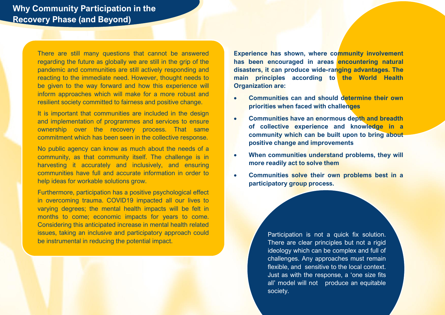There are still many questions that cannot be answered regarding the future as globally we are still in the grip of the pandemic and communities are still actively responding and reacting to the immediate need. However, thought needs to be given to the way forward and how this experience will inform approaches which will make for a more robust and resilient society committed to fairness and positive change.

It is important that communities are included in the design and implementation of programmes and services to ensure ownership over the recovery process. That same commitment which has been seen in the collective response.

No public agency can know as much about the needs of a community, as that community itself. The challenge is in harvesting it accurately and inclusively, and ensuring communities have full and accurate information in order to help ideas for workable solutions grow.

Furthermore, participation has a positive psychological effect in overcoming trauma. COVID19 impacted all our lives to varying degrees; the mental health impacts will be felt in months to come; economic impacts for years to come. Considering this anticipated increase in mental health related issues, taking an inclusive and participatory approach could be instrumental in reducing the potential impact.

**Experience has shown, where community involvement has been encouraged in areas encountering natural disasters, it can produce wide-ranging advantages. The main principles according to the World Health Organization are:**

- **Communities can and should determine their own priorities when faced with challenges**
- **Communities have an enormous depth and breadth of collective experience and knowledge in a community which can be built upon to bring about positive change and improvements**
- **When communities understand problems, they will more readily act to solve them**
- **Communities solve their own problems best in a participatory group process.**

Participation is not a quick fix solution. There are clear principles but not a rigid ideology which can be complex and full of challenges. Any approaches must remain flexible, and sensitive to the local context. Just as with the response, a 'one size fits all' model will not produce an equitable society.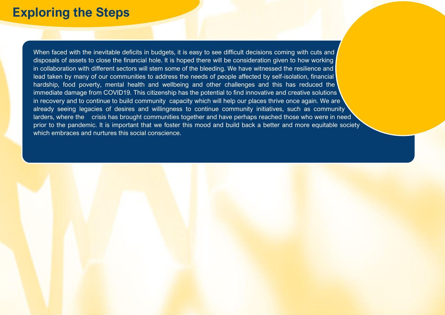# **Exploring the Steps**

When faced with the inevitable deficits in budgets, it is easy to see difficult decisions coming with cuts and disposals of assets to close the financial hole. It is hoped there will be consideration given to how working in collaboration with different sectors will stem some of the bleeding. We have witnessed the resilience and lead taken by many of our communities to address the needs of people affected by self-isolation, financial hardship, food poverty, mental health and wellbeing and other challenges and this has reduced the immediate damage from COVID19. This citizenship has the potential to find innovative and creative solutions in recovery and to continue to build community capacity which will help our places thrive once again. We are already seeing legacies of desires and willingness to continue community initiatives, such as community larders, where the crisis has brought communities together and have perhaps reached those who were in need prior to the pandemic. It is important that we foster this mood and build back a better and more equitable society which embraces and nurtures this social conscience.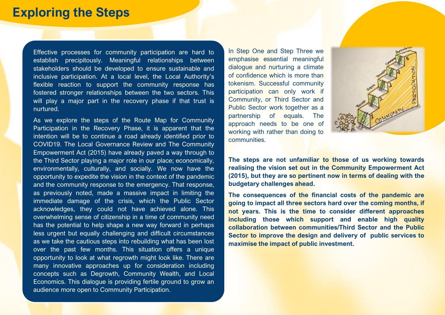# **Exploring the Steps**

Effective processes for community participation are hard to establish precipitously. Meaningful relationships between stakeholders should be developed to ensure sustainable and inclusive participation. At a local level, the Local Authority's flexible reaction to support the community response has fostered stronger relationships between the two sectors. This will play a major part in the recovery phase if that trust is nurtured.

As we explore the steps of the Route Map for Community Participation in the Recovery Phase, it is apparent that the intention will be to continue a road already identified prior to COVID19. The Local Governance Review and The Community Empowerment Act (2015) have already paved a way through to the Third Sector playing a major role in our place; economically, environmentally, culturally, and socially. We now have the opportunity to expedite the vision in the context of the pandemic and the community response to the emergency. That response, as previously noted, made a massive impact in limiting the immediate damage of the crisis, which the Public Sector acknowledges, they could not have achieved alone. This overwhelming sense of citizenship in a time of community need has the potential to help shape a new way forward in perhaps less urgent but equally challenging and difficult circumstances as we take the cautious steps into rebuilding what has been lost over the past few months. This situation offers a unique opportunity to look at what regrowth might look like. There are many innovative approaches up for consideration including concepts such as Degrowth, Community Wealth, and Local Economics. This dialogue is providing fertile ground to grow an audience more open to Community Participation.

In Step One and Step Three we emphasise essential meaningful dialogue and nurturing a climate of confidence which is more than tokenism. Successful community participation can only work if Community, or Third Sector and Public Sector work together as a partnership of equals. The approach needs to be one of working with rather than doing to communities.



**The steps are not unfamiliar to those of us working towards realising the vision set out in the Community Empowerment Act (2015), but they are so pertinent now in terms of dealing with the budgetary challenges ahead.**

**The consequences of the financial costs of the pandemic are going to impact all three sectors hard over the coming months, if not years. This is the time to consider different approaches including those which support and enable high quality collaboration between communities/Third Sector and the Public Sector to improve the design and delivery of public services to maximise the impact of public investment.**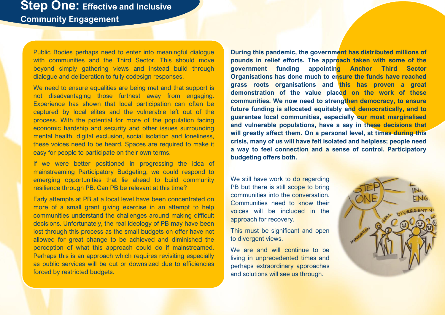Public Bodies perhaps need to enter into meaningful dialogue with communities and the Third Sector. This should move beyond simply gathering views and instead build through dialogue and deliberation to fully codesign responses.

We need to ensure equalities are being met and that support is not disadvantaging those furthest away from engaging. Experience has shown that local participation can often be captured by local elites and the vulnerable left out of the process. With the potential for more of the population facing economic hardship and security and other issues surrounding mental health, digital exclusion, social isolation and loneliness, these voices need to be heard. Spaces are required to make it easy for people to participate on their own terms.

If we were better positioned in progressing the idea of mainstreaming Participatory Budgeting, we could respond to emerging opportunities that lie ahead to build community resilience through PB. Can PB be relevant at this time?

Early attempts at PB at a local level have been concentrated on more of a small grant giving exercise in an attempt to help communities understand the challenges around making difficult decisions. Unfortunately, the real ideology of PB may have been lost through this process as the small budgets on offer have not allowed for great change to be achieved and diminished the perception of what this approach could do if mainstreamed. Perhaps this is an approach which requires revisiting especially as public services will be cut or downsized due to efficiencies forced by restricted budgets.

**During this pandemic, the government has distributed millions of**  pounds in relief efforts. The approach taken with some of the **government funding appointing Anchor Third Sector Organisations has done much to ensure the funds have reached grass roots organisations and this has proven a great demonstration of the value placed on the work of these communities. We now need to strengthen democracy, to ensure future funding is allocated equitably and democratically, and to guarantee local communities, especially our most marginalised and vulnerable populations, have a say in these decisions that will greatly affect them. On a personal level, at times during this crisis, many of us will have felt isolated and helpless; people need a way to feel connection and a sense of control. Participatory budgeting offers both.** 

We still have work to do regarding PB but there is still scope to bring communities into the conversation. Communities need to know their voices will be included in the approach for recovery.

This must be significant and open to divergent views.

We are and will continue to be living in unprecedented times and perhaps extraordinary approaches and solutions will see us through.

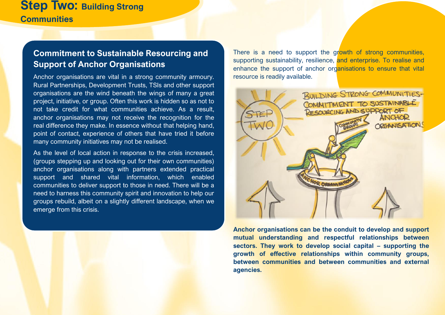### **Step Two: Building Strong Communities**

#### **Commitment to Sustainable Resourcing and Support of Anchor Organisations**

Anchor organisations are vital in a strong community armoury. Rural Partnerships, Development Trusts, TSIs and other support organisations are the wind beneath the wings of many a great project, initiative, or group. Often this work is hidden so as not to not take credit for what communities achieve. As a result, anchor organisations may not receive the recognition for the real difference they make. In essence without that helping hand, point of contact, experience of others that have tried it before many community initiatives may not be realised.

As the level of local action in response to the crisis increased, (groups stepping up and looking out for their own communities) anchor organisations along with partners extended practical support and shared vital information, which enabled communities to deliver support to those in need. There will be a need to harness this community spirit and innovation to help our groups rebuild, albeit on a slightly different landscape, when we emerge from this crisis.

There is a need to support the growth of strong communities, supporting sustainability, resilience, and enterprise. To realise and enhance the support of anchor organisations to ensure that vital resource is readily available.



**Anchor organisations can be the conduit to develop and support mutual understanding and respectful relationships between sectors. They work to develop social capital – supporting the growth of effective relationships within community groups, between communities and between communities and external agencies.**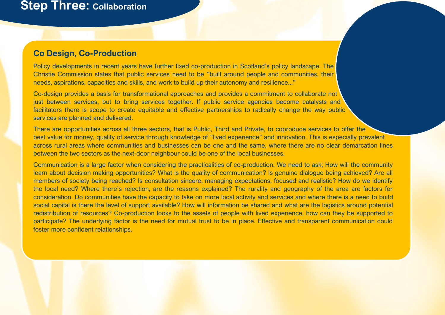#### **Co Design, Co-Production**

Policy developments in recent years have further fixed co-production in Scotland's policy landscape. The Christie Commission states that public services need to be "built around people and communities, their needs, aspirations, capacities and skills, and work to build up their autonomy and resilience..."

Co-design provides a basis for transformational approaches and provides a commitment to collaborate not just between services, but to bring services together. If public service agencies become catalysts and facilitators there is scope to create equitable and effective partnerships to radically change the way public services are planned and delivered.

There are opportunities across all three sectors, that is Public, Third and Private, to coproduce services to offer the best value for money, quality of service through knowledge of "lived experience" and innovation. This is especially prevalent across rural areas where communities and businesses can be one and the same, where there are no clear demarcation lines between the two sectors as the next-door neighbour could be one of the local businesses.

Communication is a large factor when considering the practicalities of co-production. We need to ask; How will the community learn about decision making opportunities? What is the quality of communication? Is genuine dialogue being achieved? Are all members of society being reached? Is consultation sincere, managing expectations, focused and realistic? How do we identify the local need? Where there's rejection, are the reasons explained? The rurality and geography of the area are factors for consideration. Do communities have the capacity to take on more local activity and services and where there is a need to build social capital is there the level of support available? How will information be shared and what are the logistics around potential redistribution of resources? Co-production looks to the assets of people with lived experience, how can they be supported to participate? The underlying factor is the need for mutual trust to be in place. Effective and transparent communication could foster more confident relationships.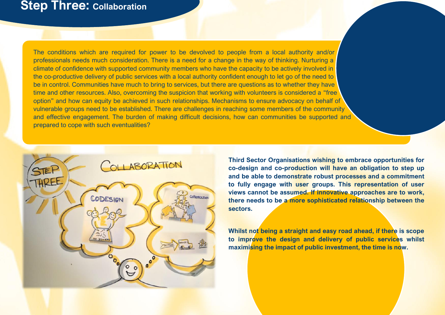## **Step Three: Collaboration**

The conditions which are required for power to be devolved to people from a local authority and/or professionals needs much consideration. There is a need for a change in the way of thinking. Nurturing a climate of confidence with supported community members who have the capacity to be actively involved in the co-productive delivery of public services with a local authority confident enough to let go of the need to be in control. Communities have much to bring to services, but there are questions as to whether they have time and other resources. Also, overcoming the suspicion that working with volunteers is considered a "free option" and how can equity be achieved in such relationships. Mechanisms to ensure advocacy on behalf of vulnerable groups need to be established. There are challenges in reaching some members of the community and effective engagement. The burden of making difficult decisions, how can communities be supported and prepared to cope with such eventualities?



**Third Sector Organisations wishing to embrace opportunities for co-design and co-production will have an obligation to step up and be able to demonstrate robust processes and a commitment to fully engage with user groups. This representation of user views cannot be assumed. If innovative approaches are to work, there needs to be a more sophisticated relationship between the sectors.**

**Whilst not being a straight and easy road ahead, if there is scope to improve the design and delivery of public services whilst maximising the impact of public investment, the time is now.**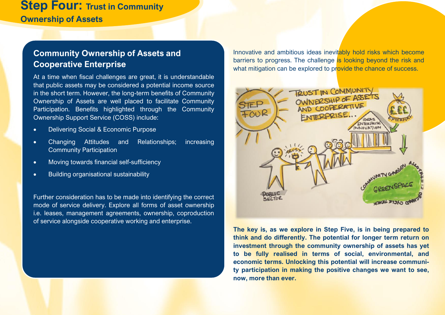#### **Step Four: Trust in Community Ownership of Assets**

#### **Community Ownership of Assets and Cooperative Enterprise**

At a time when fiscal challenges are great, it is understandable that public assets may be considered a potential income source in the short term. However, the long-term benefits of Community Ownership of Assets are well placed to facilitate Community Participation. Benefits highlighted through the Community Ownership Support Service (COSS) include:

- Delivering Social & Economic Purpose
- Changing Attitudes and Relationships; increasing Community Participation
- Moving towards financial self-sufficiency
- Building organisational sustainability

Further consideration has to be made into identifying the correct mode of service delivery. Explore all forms of asset ownership i.e. leases, management agreements, ownership, coproduction of service alongside cooperative working and enterprise.

Innovative and ambitious ideas inevitably hold risks which become barriers to progress. The challenge is looking beyond the risk and what mitigation can be explored to provide the chance of success.



**The key is, as we explore in Step Five, is in being prepared to think and do differently. The potential for longer term return on investment through the community ownership of assets has yet to be fully realised in terms of social, environmental, and economic terms. Unlocking this potential will increase community participation in making the positive changes we want to see, now, more than ever.**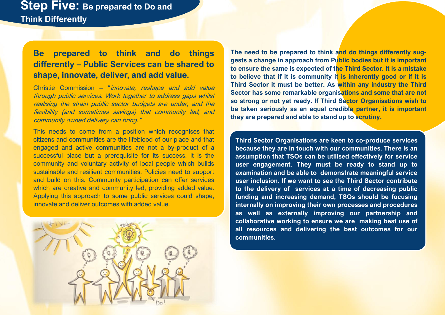### **Step Five: Be prepared to Do and Think Differently**

#### **Be prepared to think and do things differently – Public Services can be shared to shape, innovate, deliver, and add value.**

Christie Commission – "innovate, reshape and add value through public services. Work together to address gaps whilst realising the strain public sector budgets are under, and the flexibility (and sometimes savings) that community led, and community owned delivery can bring."

This needs to come from a position which recognises that citizens and communities are the lifeblood of our place and that engaged and active communities are not a by-product of a successful place but a prerequisite for its success. It is the community and voluntary activity of local people which builds sustainable and resilient communities. Policies need to support and build on this. Community participation can offer services which are creative and community led, providing added value. Applying this approach to some public services could shape, innovate and deliver outcomes with added value.



**The need to be prepared to think and do things differently suggests a change in approach from Public bodies but it is important to ensure the same is expected of the Third Sector. It is a mistake to believe that if it is community it is inherently good or if it is Third Sector it must be better. As within any industry the Third Sector has some remarkable organisations and some that are not so strong or not yet ready. If Third Sector Organisations wish to be taken seriously as an equal credible partner, it is important they are prepared and able to stand up to scrutiny.** 

**Third Sector Organisations are keen to co-produce services because they are in touch with our communities. There is an assumption that TSOs can be utilised effectively for service user engagement. They must be ready to stand up to examination and be able to demonstrate meaningful service user inclusion. If we want to see the Third Sector contribute to the delivery of services at a time of decreasing public funding and increasing demand, TSOs should be focusing internally on improving their own processes and procedures as well as externally improving our partnership and collaborative working to ensure we are making best use of all resources and delivering the best outcomes for our communities.**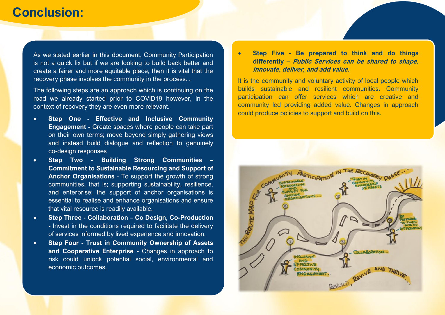# **Conclusion:**

As we stated earlier in this document, Community Participation is not a quick fix but if we are looking to build back better and create a fairer and more equitable place, then it is vital that the recovery phase involves the community in the process. .

The following steps are an approach which is continuing on the road we already started prior to COVID19 however, in the context of recovery they are even more relevant.

- **Step One - Effective and Inclusive Community Engagement -** Create spaces where people can take part on their own terms; move beyond simply gathering views and instead build dialogue and reflection to genuinely co-design responses
- **Step Two - Building Strong Communities – Commitment to Sustainable Resourcing and Support of Anchor Organisations** - To support the growth of strong communities, that is; supporting sustainability, resilience, and enterprise; the support of anchor organisations is essential to realise and enhance organisations and ensure that vital resource is readily available.
- **Step Three - Collaboration – Co Design, Co-Production -** Invest in the conditions required to facilitate the delivery of services informed by lived experience and innovation.
- **Step Four - Trust in Community Ownership of Assets and Cooperative Enterprise -** Changes in approach to risk could unlock potential social, environmental and economic outcomes.

• **Step Five - Be prepared to think and do things differently – Public Services can be shared to shape, innovate, deliver, and add value.**

It is the community and voluntary activity of local people which builds sustainable and resilient communities. Community participation can offer services which are creative and community led providing added value. Changes in approach could produce policies to support and build on this.

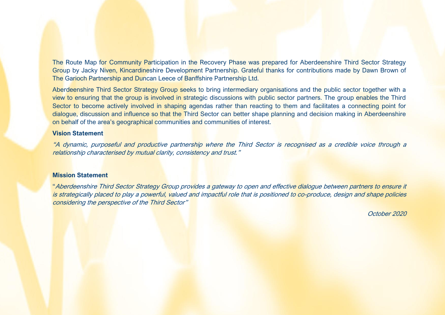The Route Map for Community Participation in the Recovery Phase was prepared for Aberdeenshire Third Sector Strategy Group by Jacky Niven, Kincardineshire Development Partnership. Grateful thanks for contributions made by Dawn Brown of The Garioch Partnership and Duncan Leece of Banffshire Partnership Ltd.

Aberdeenshire Third Sector Strategy Group seeks to bring intermediary organisations and the public sector together with a view to ensuring that the group is involved in strategic discussions with public sector partners. The group enables the Third Sector to become actively involved in shaping agendas rather than reacting to them and facilitates a connecting point for dialogue, discussion and influence so that the Third Sector can better shape planning and decision making in Aberdeenshire on behalf of the area's geographical communities and communities of interest.

#### **Vision Statement**

"A dynamic, purposeful and productive partnership where the Third Sector is recognised as a credible voice through a relationship characterised by mutual clarity, consistency and trust."

#### **Mission Statement**

"Aberdeenshire Third Sector Strategy Group provides a gateway to open and effective dialogue between partners to ensure it is strategically placed to play a powerful, valued and impactful role that is positioned to co-produce, design and shape policies considering the perspective of the Third Sector"

October 2020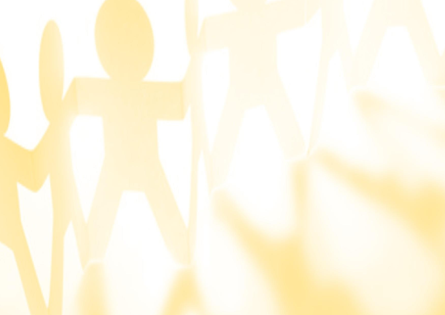